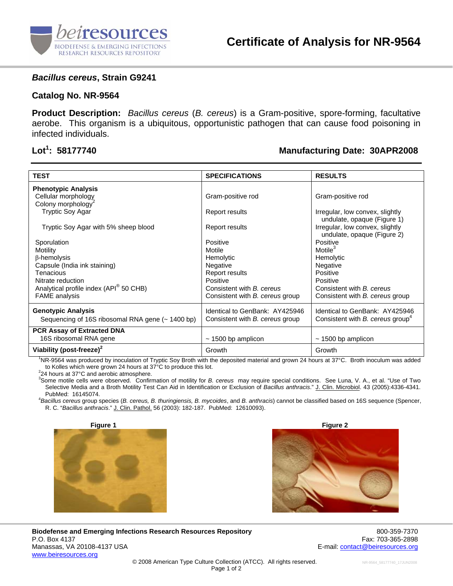

### *Bacillus cereus***, Strain G9241**

### **Catalog No. NR-9564**

**Product Description:** *Bacillus cereus* (*B. cereus*) is a Gram-positive, spore-forming, facultative aerobe. This organism is a ubiquitous, opportunistic pathogen that can cause food poisoning in infected individuals.

# Lot<sup>1</sup>: 58177740

## **: 58177740 Manufacturing Date: 30APR2008**

| <b>TEST</b>                                        | <b>SPECIFICATIONS</b>                  | <b>RESULTS</b>                               |
|----------------------------------------------------|----------------------------------------|----------------------------------------------|
| <b>Phenotypic Analysis</b>                         |                                        |                                              |
| Cellular morphology                                | Gram-positive rod                      | Gram-positive rod                            |
| Colony morphology <sup>2</sup>                     |                                        |                                              |
| <b>Tryptic Soy Agar</b>                            | Report results                         | Irregular, low convex, slightly              |
|                                                    |                                        | undulate, opaque (Figure 1)                  |
| Tryptic Soy Agar with 5% sheep blood               | Report results                         | Irregular, low convex, slightly              |
| Sporulation                                        | Positive                               | undulate, opaque (Figure 2)<br>Positive      |
|                                                    | Motile                                 | Motile $3$                                   |
| <b>Motility</b><br>$\beta$ -hemolysis              | Hemolytic                              | Hemolytic                                    |
| Capsule (India ink staining)                       | Negative                               | Negative                                     |
| Tenacious                                          | Report results                         | Positive                                     |
| Nitrate reduction                                  | Positive                               | Positive                                     |
| Analytical profile index (API <sup>®</sup> 50 CHB) | Consistent with B. cereus              | Consistent with B. cereus                    |
| <b>FAME</b> analysis                               | Consistent with <i>B. cereus</i> group | Consistent with B. cereus group              |
|                                                    |                                        |                                              |
| <b>Genotypic Analysis</b>                          | Identical to GenBank: AY425946         | Identical to GenBank: AY425946               |
| Sequencing of 16S ribosomal RNA gene (~ 1400 bp)   | Consistent with <i>B. cereus</i> group | Consistent with B. cereus group <sup>4</sup> |
| <b>PCR Assay of Extracted DNA</b>                  |                                        |                                              |
| 16S ribosomal RNA gene                             | $\sim$ 1500 bp amplicon                | $\sim$ 1500 bp amplicon                      |
| Viability (post-freeze) <sup>2</sup>               | Growth                                 | Growth                                       |

1 NR-9564 was produced by inoculation of Tryptic Soy Broth with the deposited material and grown 24 hours at 37°C. Broth inoculum was added to Kolles which were grown 24 hours at 37°C to produce this lot. 2

24 hours at 37°C and aerobic atmosphere.

3 Some motile cells were observed. Confirmation of motility for *B. cereus* may require special conditions. See Luna, V. A., et al. "Use of Two Selective Media and a Broth Motility Test Can Aid in Identification or Exclusion of *Bacillus anthracis*." J. Clin. Microbiol. 43 (2005):4336-4341. PubMed: 16145074.

*Bacillus cereus* group species (*B. cereus, B. thuringiensis, B. mycoides*, and *B. anthracis*) cannot be classified based on 16S sequence (Spencer, R. C. "*Bacillus anthracis*." J. Clin. Pathol. 56 (2003): 182-187. PubMed: 12610093).





**Biodefense and Emerging Infections Research Resources Repository** 800-359-7370 P.O. Box 4137 Fax: 703-365-2898 Manassas, VA 20108-4137 USA E-mail: contact@beiresources.org www.beiresources.org